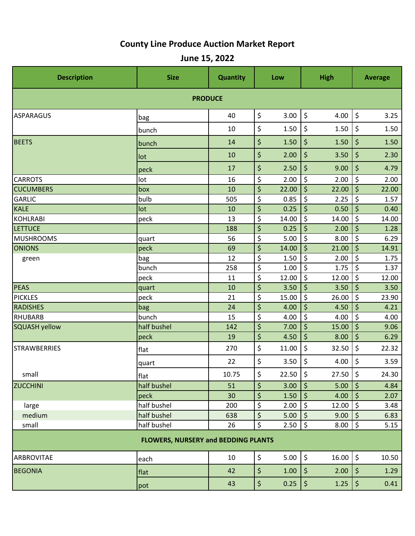## **County Line Produce Auction Market Report**

**June 15, 2022**

| <b>Description</b>                         | <b>Size</b> | Quantity |                                 | Low   | <b>High</b>                    |       | <b>Average</b>                  |       |  |  |  |
|--------------------------------------------|-------------|----------|---------------------------------|-------|--------------------------------|-------|---------------------------------|-------|--|--|--|
| <b>PRODUCE</b>                             |             |          |                                 |       |                                |       |                                 |       |  |  |  |
| <b>ASPARAGUS</b>                           | bag         | 40       | \$                              | 3.00  | \$                             | 4.00  | \$                              | 3.25  |  |  |  |
|                                            | bunch       | 10       | \$                              | 1.50  | \$                             | 1.50  | \$                              | 1.50  |  |  |  |
| <b>BEETS</b>                               | bunch       | 14       | \$                              | 1.50  | \$                             | 1.50  | \$                              | 1.50  |  |  |  |
|                                            | lot         | 10       | \$                              | 2.00  | \$                             | 3.50  | \$                              | 2.30  |  |  |  |
|                                            | peck        | 17       | \$                              | 2.50  | \$                             | 9.00  | \$                              | 4.79  |  |  |  |
| <b>CARROTS</b>                             | lot         | 16       | \$                              | 2.00  | \$                             | 2.00  | \$                              | 2.00  |  |  |  |
| <b>CUCUMBERS</b>                           | box         | 10       | \$                              | 22.00 | \$                             | 22.00 | \$                              | 22.00 |  |  |  |
| GARLIC                                     | bulb        | 505      | \$                              | 0.85  | \$                             | 2.25  | \$                              | 1.57  |  |  |  |
| <b>KALE</b>                                | lot         | 10       | \$                              | 0.25  | \$                             | 0.50  | \$                              | 0.40  |  |  |  |
| KOHLRABI                                   | peck        | 13       | \$                              | 14.00 | \$                             | 14.00 | \$                              | 14.00 |  |  |  |
| <b>LETTUCE</b>                             |             | 188      | \$                              | 0.25  | \$                             | 2.00  | \$                              | 1.28  |  |  |  |
| <b>MUSHROOMS</b>                           | quart       | 56       | \$                              | 5.00  | \$                             | 8.00  | $\zeta$                         | 6.29  |  |  |  |
| <b>ONIONS</b>                              | peck        | 69       | \$                              | 14.00 | \$                             | 21.00 | \$                              | 14.91 |  |  |  |
| green                                      | bag         | 12       | \$                              | 1.50  | \$                             | 2.00  | \$                              | 1.75  |  |  |  |
|                                            | bunch       | 258      | \$                              | 1.00  | \$                             | 1.75  | \$                              | 1.37  |  |  |  |
|                                            | peck        | 11       | $\overline{\boldsymbol{\zeta}}$ | 12.00 | $\overline{\xi}$               | 12.00 | $\overline{\boldsymbol{\zeta}}$ | 12.00 |  |  |  |
| PEAS                                       | quart       | 10       | \$                              | 3.50  | \$                             | 3.50  | \$                              | 3.50  |  |  |  |
| <b>PICKLES</b>                             | peck        | 21       | \$                              | 15.00 | \$                             | 26.00 | \$                              | 23.90 |  |  |  |
| <b>RADISHES</b>                            | bag         | 24       | \$                              | 4.00  | \$                             | 4.50  | \$                              | 4.21  |  |  |  |
| RHUBARB                                    | bunch       | 15       | \$                              | 4.00  | \$                             | 4.00  | \$                              | 4.00  |  |  |  |
| SQUASH yellow                              | half bushel | 142      | \$                              | 7.00  | \$                             | 15.00 | \$                              | 9.06  |  |  |  |
|                                            | peck        | 19       | \$                              | 4.50  | \$                             | 8.00  | \$                              | 6.29  |  |  |  |
| <b>STRAWBERRIES</b>                        | flat        | 270      | \$                              | 11.00 | \$                             | 32.50 | \$                              | 22.32 |  |  |  |
|                                            | quart       | 22       | \$                              | 3.50  | \$                             | 4.00  | \$                              | 3.59  |  |  |  |
| small                                      | flat        | 10.75    | \$                              | 22.50 | \$                             | 27.50 | \$                              | 24.30 |  |  |  |
| <b>ZUCCHINI</b>                            | half bushel | 51       | \$                              | 3.00  | \$                             | 5.00  | $\zeta$                         | 4.84  |  |  |  |
|                                            | peck        | 30       | \$                              | 1.50  | $\boldsymbol{\zeta}$           | 4.00  | \$                              | 2.07  |  |  |  |
| large                                      | half bushel | 200      | \$                              | 2.00  | \$                             | 12.00 | $\zeta$                         | 3.48  |  |  |  |
| medium                                     | half bushel | 638      | \$                              | 5.00  | $\boldsymbol{\dot{\varsigma}}$ | 9.00  | \$                              | 6.83  |  |  |  |
| small                                      | half bushel | 26       | \$                              | 2.50  | \$                             | 8.00  | $\vert \xi \vert$               | 5.15  |  |  |  |
| <b>FLOWERS, NURSERY and BEDDING PLANTS</b> |             |          |                                 |       |                                |       |                                 |       |  |  |  |
| ARBROVITAE                                 | each        | 10       | \$                              | 5.00  | \$                             | 16.00 | \$                              | 10.50 |  |  |  |
| <b>BEGONIA</b>                             | flat        | 42       | \$                              | 1.00  | $\boldsymbol{\zeta}$           | 2.00  | \$                              | 1.29  |  |  |  |
|                                            | pot         | 43       | \$                              | 0.25  | $\boldsymbol{\zeta}$           | 1.25  | $\boldsymbol{\zeta}$            | 0.41  |  |  |  |